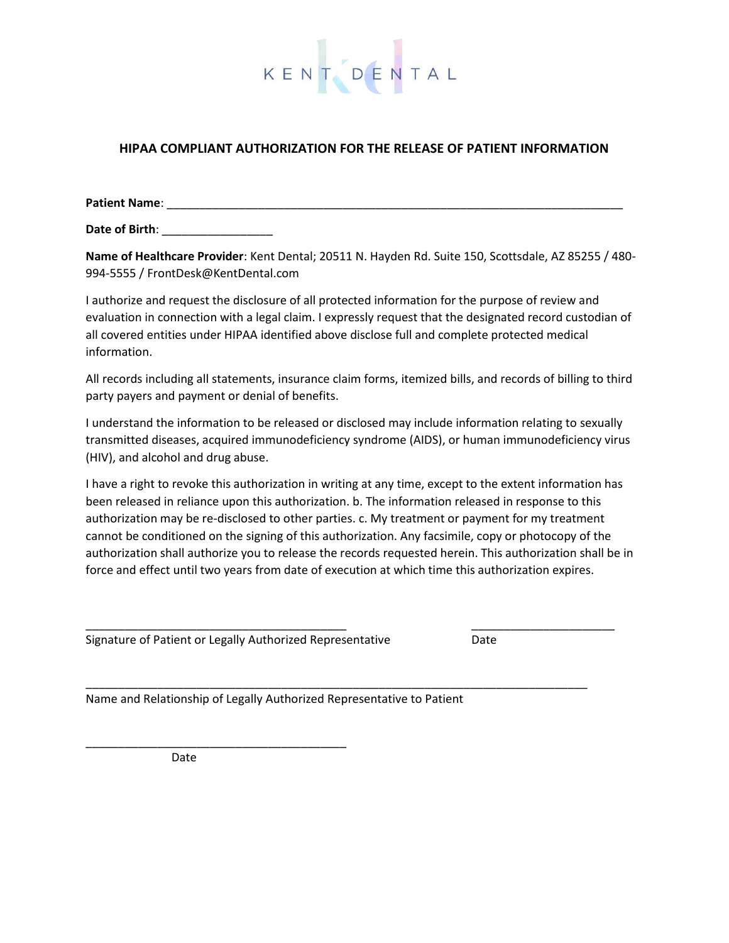

#### **HIPAA COMPLIANT AUTHORIZATION FOR THE RELEASE OF PATIENT INFORMATION**

**Patient Name**: \_\_\_\_\_\_\_\_\_\_\_\_\_\_\_\_\_\_\_\_\_\_\_\_\_\_\_\_\_\_\_\_\_\_\_\_\_\_\_\_\_\_\_\_\_\_\_\_\_\_\_\_\_\_\_\_\_\_\_\_\_\_\_\_\_\_\_\_\_\_

**Date of Birth**: \_\_\_\_\_\_\_\_\_\_\_\_\_\_\_\_\_

**Name of Healthcare Provider**: Kent Dental; 20511 N. Hayden Rd. Suite 150, Scottsdale, AZ 85255 / 480- 994-5555 / FrontDesk@KentDental.com

I authorize and request the disclosure of all protected information for the purpose of review and evaluation in connection with a legal claim. I expressly request that the designated record custodian of all covered entities under HIPAA identified above disclose full and complete protected medical information.

All records including all statements, insurance claim forms, itemized bills, and records of billing to third party payers and payment or denial of benefits.

I understand the information to be released or disclosed may include information relating to sexually transmitted diseases, acquired immunodeficiency syndrome (AIDS), or human immunodeficiency virus (HIV), and alcohol and drug abuse.

I have a right to revoke this authorization in writing at any time, except to the extent information has been released in reliance upon this authorization. b. The information released in response to this authorization may be re-disclosed to other parties. c. My treatment or payment for my treatment cannot be conditioned on the signing of this authorization. Any facsimile, copy or photocopy of the authorization shall authorize you to release the records requested herein. This authorization shall be in force and effect until two years from date of execution at which time this authorization expires.

\_\_\_\_\_\_\_\_\_\_\_\_\_\_\_\_\_\_\_\_\_\_\_\_\_\_\_\_\_\_\_\_\_\_\_\_\_\_\_\_ \_\_\_\_\_\_\_\_\_\_\_\_\_\_\_\_\_\_\_\_\_\_

\_\_\_\_\_\_\_\_\_\_\_\_\_\_\_\_\_\_\_\_\_\_\_\_\_\_\_\_\_\_\_\_\_\_\_\_\_\_\_\_\_\_\_\_\_\_\_\_\_\_\_\_\_\_\_\_\_\_\_\_\_\_\_\_\_\_\_\_\_\_\_\_\_\_\_\_\_

Signature of Patient or Legally Authorized Representative Date

Name and Relationship of Legally Authorized Representative to Patient

Date

\_\_\_\_\_\_\_\_\_\_\_\_\_\_\_\_\_\_\_\_\_\_\_\_\_\_\_\_\_\_\_\_\_\_\_\_\_\_\_\_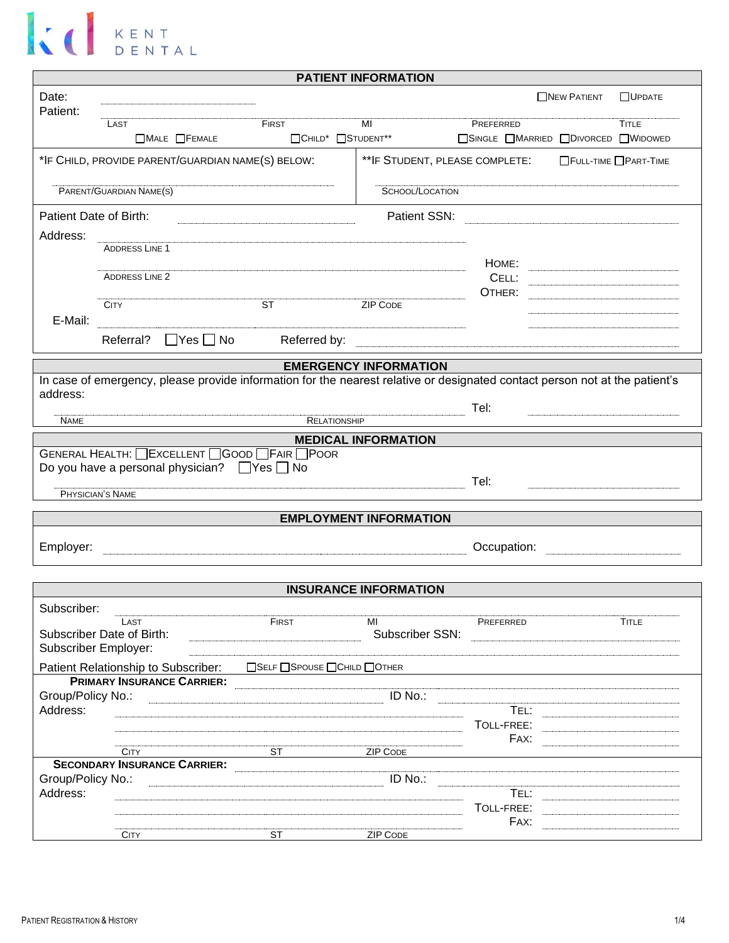| <b>PATIENT INFORMATION</b>                                                                                |                                                                                                                             |                                            |                               |                                     |                    |                |  |
|-----------------------------------------------------------------------------------------------------------|-----------------------------------------------------------------------------------------------------------------------------|--------------------------------------------|-------------------------------|-------------------------------------|--------------------|----------------|--|
| Date:<br>Patient:                                                                                         |                                                                                                                             |                                            |                               |                                     | <b>NEW PATIENT</b> | <b>NUPDATE</b> |  |
|                                                                                                           | LAST                                                                                                                        | FIRST                                      | MI                            | PREFERRED                           |                    | <b>TITLE</b>   |  |
|                                                                                                           | $\Box$ MALE $\Box$ FEMALE                                                                                                   | □CHILD <sup>*</sup> □STUDENT <sup>**</sup> |                               | □SINGLE ■MARRIED ■DIVORCED ■WIDOWED |                    |                |  |
| *IF CHILD, PROVIDE PARENT/GUARDIAN NAME(S) BELOW:<br>** IF STUDENT, PLEASE COMPLETE: FULL-TIME PART-TIME  |                                                                                                                             |                                            |                               |                                     |                    |                |  |
| PARENT/GUARDIAN NAME(S)                                                                                   |                                                                                                                             |                                            | SCHOOL/LOCATION               |                                     |                    |                |  |
| Patient Date of Birth:                                                                                    |                                                                                                                             |                                            | Patient SSN:                  |                                     |                    |                |  |
| Address:                                                                                                  | <b>ADDRESS LINE 1</b>                                                                                                       |                                            |                               |                                     |                    |                |  |
|                                                                                                           |                                                                                                                             |                                            |                               | HOME:                               |                    |                |  |
|                                                                                                           | <b>ADDRESS LINE 2</b>                                                                                                       |                                            |                               | CELL:                               |                    |                |  |
|                                                                                                           | <b>CITY</b>                                                                                                                 | $\overline{\text{ST}}$                     | <b>ZIP CODE</b>               | OTHER:                              |                    |                |  |
| E-Mail:                                                                                                   |                                                                                                                             |                                            |                               |                                     |                    |                |  |
|                                                                                                           | $\Box$ Yes $\Box$ No<br>Referral?                                                                                           | Referred by:                               |                               |                                     |                    |                |  |
|                                                                                                           |                                                                                                                             |                                            | <b>EMERGENCY INFORMATION</b>  |                                     |                    |                |  |
|                                                                                                           | In case of emergency, please provide information for the nearest relative or designated contact person not at the patient's |                                            |                               |                                     |                    |                |  |
| address:                                                                                                  |                                                                                                                             |                                            |                               | Tel:                                |                    |                |  |
| <b>NAME</b>                                                                                               |                                                                                                                             | RELATIONSHIP                               |                               |                                     |                    |                |  |
|                                                                                                           |                                                                                                                             |                                            | <b>MEDICAL INFORMATION</b>    |                                     |                    |                |  |
| GENERAL HEALTH: <b>EXCELLENT</b> GOOD FAIR POOR<br>Do you have a personal physician? $\Box$ Yes $\Box$ No |                                                                                                                             |                                            |                               |                                     |                    |                |  |
|                                                                                                           |                                                                                                                             |                                            |                               | Tel:                                |                    |                |  |
|                                                                                                           | PHYSICIAN'S NAME                                                                                                            |                                            |                               |                                     |                    |                |  |
|                                                                                                           |                                                                                                                             |                                            | <b>EMPLOYMENT INFORMATION</b> |                                     |                    |                |  |
| Employer:                                                                                                 |                                                                                                                             |                                            |                               | Occupation:                         |                    |                |  |
|                                                                                                           |                                                                                                                             |                                            |                               |                                     |                    |                |  |
|                                                                                                           |                                                                                                                             |                                            | <b>INSURANCE INFORMATION</b>  |                                     |                    |                |  |
| Subscriber:                                                                                               | LAST                                                                                                                        | FIRST                                      | MI                            | PREFERRED                           |                    | <b>TITLE</b>   |  |
|                                                                                                           | Subscriber Date of Birth:                                                                                                   |                                            |                               | Subscriber SSN:                     |                    |                |  |
|                                                                                                           | Subscriber Employer:                                                                                                        |                                            |                               |                                     |                    |                |  |
|                                                                                                           | Patient Relationship to Subscriber:<br>PRIMARY INSURANCE CARRIER:                                                           | □SELF □SPOUSE □CHILD □OTHER                |                               |                                     |                    |                |  |
|                                                                                                           |                                                                                                                             |                                            | ID No.:                       |                                     |                    |                |  |
| Address:                                                                                                  |                                                                                                                             |                                            |                               | TEL:                                |                    |                |  |
|                                                                                                           |                                                                                                                             |                                            |                               | TOLL-FREE:<br>FAX:                  |                    |                |  |
|                                                                                                           | <b>CITY</b>                                                                                                                 | <b>ST</b>                                  | <b>ZIP CODE</b>               |                                     |                    |                |  |
| Group/Policy No.:                                                                                         | SECONDARY INSURANCE CARRIER:                                                                                                |                                            | ID No.:                       |                                     |                    |                |  |
| Address:                                                                                                  |                                                                                                                             |                                            |                               | TEL:                                |                    |                |  |
|                                                                                                           |                                                                                                                             |                                            |                               | TOLL-FREE:                          |                    |                |  |
|                                                                                                           | <b>CITY</b>                                                                                                                 | <b>ST</b>                                  | <b>ZIP CODE</b>               | FAX:                                |                    |                |  |
|                                                                                                           |                                                                                                                             |                                            |                               |                                     |                    |                |  |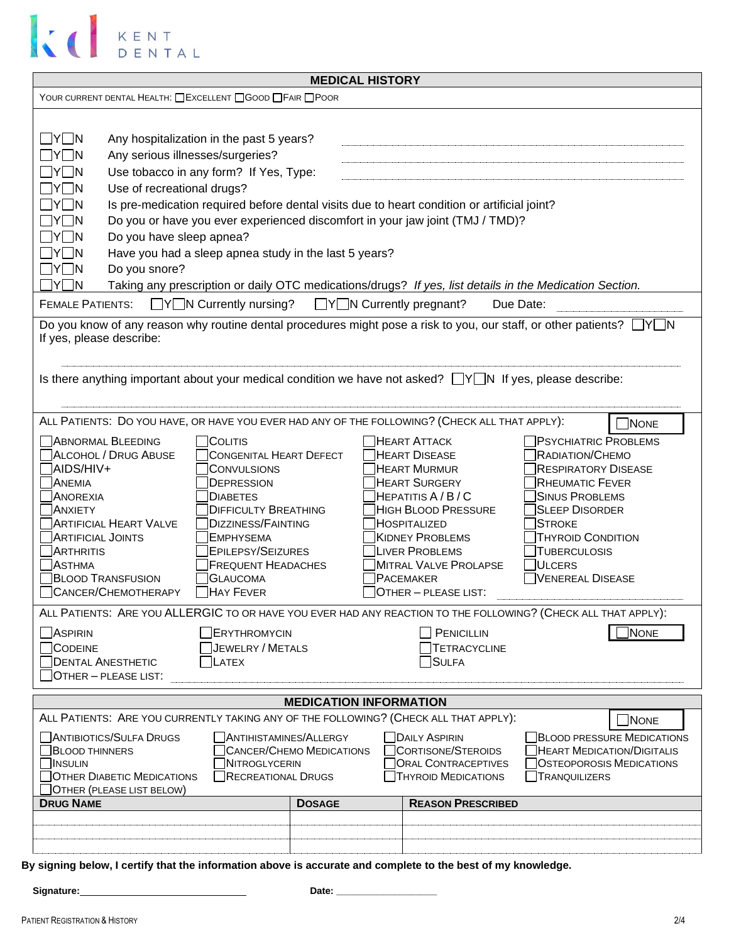

| <b>MEDICAL HISTORY</b>                                                                                                                                                                                                                                                                                                                                                                                                                                                                                                                                                                                                                                                                                                                                                                                                                                                                                                                                                                                                                                                                                                                                                                                                                                                                                                                                                                                                                                                                                                                                                                                                 |                                                                             |                                     |                                                                                                               |                                                                                                                                               |  |  |  |
|------------------------------------------------------------------------------------------------------------------------------------------------------------------------------------------------------------------------------------------------------------------------------------------------------------------------------------------------------------------------------------------------------------------------------------------------------------------------------------------------------------------------------------------------------------------------------------------------------------------------------------------------------------------------------------------------------------------------------------------------------------------------------------------------------------------------------------------------------------------------------------------------------------------------------------------------------------------------------------------------------------------------------------------------------------------------------------------------------------------------------------------------------------------------------------------------------------------------------------------------------------------------------------------------------------------------------------------------------------------------------------------------------------------------------------------------------------------------------------------------------------------------------------------------------------------------------------------------------------------------|-----------------------------------------------------------------------------|-------------------------------------|---------------------------------------------------------------------------------------------------------------|-----------------------------------------------------------------------------------------------------------------------------------------------|--|--|--|
| YOUR CURRENT DENTAL HEALTH: CEXCELLENT COOD CFAIR CPOOR                                                                                                                                                                                                                                                                                                                                                                                                                                                                                                                                                                                                                                                                                                                                                                                                                                                                                                                                                                                                                                                                                                                                                                                                                                                                                                                                                                                                                                                                                                                                                                |                                                                             |                                     |                                                                                                               |                                                                                                                                               |  |  |  |
| $\Box$ Y $\Box$ N<br>Any hospitalization in the past 5 years?<br>Any serious illnesses/surgeries?<br>$\Box$ Y $\Box$ N<br>$\Box$ y $\Box$ n<br>Use tobacco in any form? If Yes, Type:<br>∏Y∏N<br>Use of recreational drugs?<br>$\sqcap$ y $\sqcap$ n<br>Is pre-medication required before dental visits due to heart condition or artificial joint?<br>Do you or have you ever experienced discomfort in your jaw joint (TMJ / TMD)?<br>IYI IN<br>Do you have sleep apnea?<br>  IYI IN<br>$\Box$ Y $\Box$ N<br>Have you had a sleep apnea study in the last 5 years?<br>$\Box$ Y $\Box$ N<br>Do you snore?<br>ן Y∏N<br>Taking any prescription or daily OTC medications/drugs? If yes, list details in the Medication Section.                                                                                                                                                                                                                                                                                                                                                                                                                                                                                                                                                                                                                                                                                                                                                                                                                                                                                         |                                                                             |                                     |                                                                                                               |                                                                                                                                               |  |  |  |
| <b>FEMALE PATIENTS:</b>                                                                                                                                                                                                                                                                                                                                                                                                                                                                                                                                                                                                                                                                                                                                                                                                                                                                                                                                                                                                                                                                                                                                                                                                                                                                                                                                                                                                                                                                                                                                                                                                | $\Box Y \Box N$ Currently nursing?                                          | $\Box Y \Box N$ Currently pregnant? |                                                                                                               | Due Date:                                                                                                                                     |  |  |  |
| Do you know of any reason why routine dental procedures might pose a risk to you, our staff, or other patients?<br>If yes, please describe:<br>Is there anything important about your medical condition we have not asked? $\Box Y \Box N$ If yes, please describe:<br>ALL PATIENTS: DO YOU HAVE, OR HAVE YOU EVER HAD ANY OF THE FOLLOWING? (CHECK ALL THAT APPLY):<br><b>NONE</b><br><b>ABNORMAL BLEEDING</b><br><b>COLITIS</b><br><b>HEART ATTACK</b><br><b>PSYCHIATRIC PROBLEMS</b><br>ALCOHOL / DRUG ABUSE<br><b>CONGENITAL HEART DEFECT</b><br><b>HEART DISEASE</b><br>RADIATION/CHEMO<br>AIDS/HIV+<br>CONVULSIONS<br><b>HEART MURMUR</b><br><b>RESPIRATORY DISEASE</b><br><b>ANEMIA</b><br><b>HEART SURGERY</b><br><b>RHEUMATIC FEVER</b><br>DEPRESSION<br>HEPATITIS A / B / C<br><b>SINUS PROBLEMS</b><br><b>ANOREXIA</b><br><b>DIABETES</b><br><b>SLEEP DISORDER</b><br><b>ANXIETY</b><br><b>DIFFICULTY BREATHING</b><br><b>HIGH BLOOD PRESSURE</b><br><b>ARTIFICIAL HEART VALVE</b><br><b>DIZZINESS/FAINTING</b><br>HOSPITALIZED<br><b>STROKE</b><br><b>ARTIFICIAL JOINTS</b><br><b>KIDNEY PROBLEMS</b><br><b>THYROID CONDITION</b><br><b>EMPHYSEMA</b><br><b>EPILEPSY/SEIZURES</b><br><b>ARTHRITIS</b><br>LIVER PROBLEMS<br><b>TUBERCULOSIS</b><br><b>ASTHMA</b><br><b>FREQUENT HEADACHES</b><br>MITRAL VALVE PROLAPSE<br>ULCERS<br><b>BLOOD TRANSFUSION</b><br><b>GLAUCOMA</b><br><b>PACEMAKER</b><br>VENEREAL DISEASE<br>CANCER/CHEMOTHERAPY<br><b>HAY FEVER</b><br>OTHER - PLEASE LIST:<br>ALL PATIENTS: ARE YOU ALLERGIC TO OR HAVE YOU EVER HAD ANY REACTION TO THE FOLLOWING? (CHECK ALL THAT APPLY): |                                                                             |                                     |                                                                                                               |                                                                                                                                               |  |  |  |
| $\Box$ Aspirin<br>ERYTHROMYCIN<br>CODEINE<br><b>JEWELRY / METALS</b><br><b>DENTAL ANESTHETIC</b><br>LATEX<br>OTHER - PLEASE LIST:                                                                                                                                                                                                                                                                                                                                                                                                                                                                                                                                                                                                                                                                                                                                                                                                                                                                                                                                                                                                                                                                                                                                                                                                                                                                                                                                                                                                                                                                                      |                                                                             |                                     | PENICILLIN<br><b>TETRACYCLINE</b><br>SULFA                                                                    | <b>NONE</b>                                                                                                                                   |  |  |  |
| <b>MEDICATION INFORMATION</b>                                                                                                                                                                                                                                                                                                                                                                                                                                                                                                                                                                                                                                                                                                                                                                                                                                                                                                                                                                                                                                                                                                                                                                                                                                                                                                                                                                                                                                                                                                                                                                                          |                                                                             |                                     |                                                                                                               |                                                                                                                                               |  |  |  |
| ALL PATIENTS: ARE YOU CURRENTLY TAKING ANY OF THE FOLLOWING? (CHECK ALL THAT APPLY):<br>ANTIBIOTICS/SULFA DRUGS<br><b>BLOOD THINNERS</b><br><b>INSULIN</b><br><b>OTHER DIABETIC MEDICATIONS</b><br>OTHER (PLEASE LIST BELOW)                                                                                                                                                                                                                                                                                                                                                                                                                                                                                                                                                                                                                                                                                                                                                                                                                                                                                                                                                                                                                                                                                                                                                                                                                                                                                                                                                                                           | <b>ANTIHISTAMINES/ALLERGY</b><br>NITROGLYCERIN<br><b>RECREATIONAL DRUGS</b> | CANCER/CHEMO MEDICATIONS            | <b>DAILY ASPIRIN</b><br><b>CORTISONE/STEROIDS</b><br><b>ORAL CONTRACEPTIVES</b><br><b>THYROID MEDICATIONS</b> | $J$ NONE<br><b>BLOOD PRESSURE MEDICATIONS</b><br><b>HEART MEDICATION/DIGITALIS</b><br><b>OSTEOPOROSIS MEDICATIONS</b><br><b>TRANQUILIZERS</b> |  |  |  |
| <b>DRUG NAME</b>                                                                                                                                                                                                                                                                                                                                                                                                                                                                                                                                                                                                                                                                                                                                                                                                                                                                                                                                                                                                                                                                                                                                                                                                                                                                                                                                                                                                                                                                                                                                                                                                       |                                                                             | <b>DOSAGE</b>                       | <b>REASON PRESCRIBED</b>                                                                                      |                                                                                                                                               |  |  |  |
|                                                                                                                                                                                                                                                                                                                                                                                                                                                                                                                                                                                                                                                                                                                                                                                                                                                                                                                                                                                                                                                                                                                                                                                                                                                                                                                                                                                                                                                                                                                                                                                                                        |                                                                             |                                     |                                                                                                               |                                                                                                                                               |  |  |  |
| By signing below, I certify that the information above is accurate and complete to the best of my knowledge.<br>Signature:<br>Date:                                                                                                                                                                                                                                                                                                                                                                                                                                                                                                                                                                                                                                                                                                                                                                                                                                                                                                                                                                                                                                                                                                                                                                                                                                                                                                                                                                                                                                                                                    |                                                                             |                                     |                                                                                                               |                                                                                                                                               |  |  |  |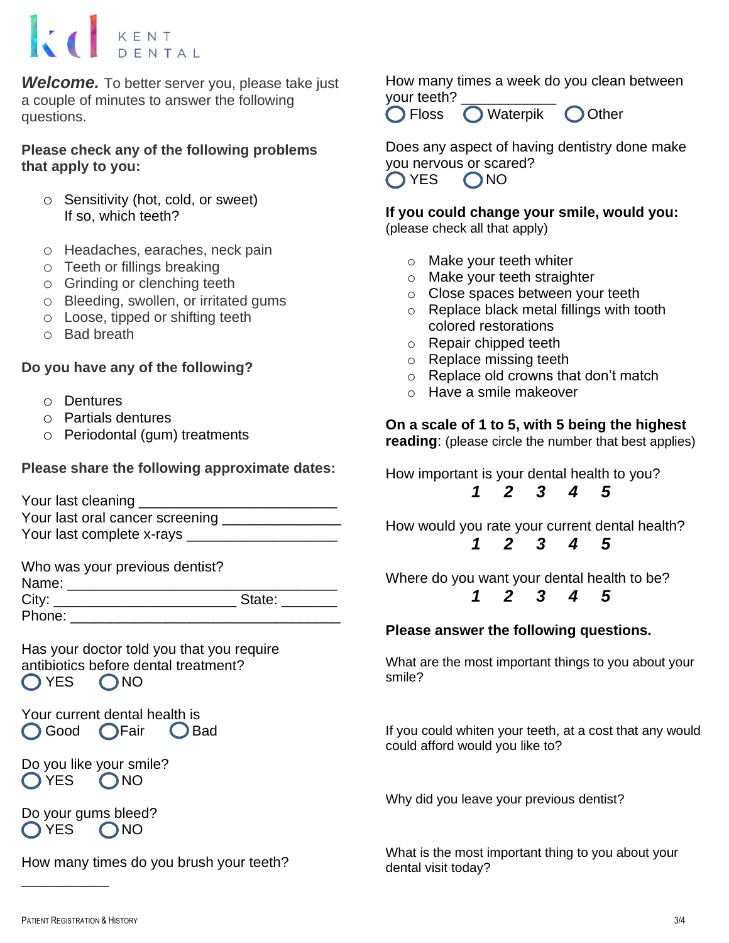*Welcome.* To better server you, please take just a couple of minutes to answer the following questions.

**Please check any of the following problems that apply to you:**

- o Sensitivity (hot, cold, or sweet) If so, which teeth?
- o Headaches, earaches, neck pain
- o Teeth or fillings breaking
- o Grinding or clenching teeth
- o Bleeding, swollen, or irritated gums
- o Loose, tipped or shifting teeth
- o Bad breath

#### **Do you have any of the following?**

- o Dentures
- o Partials dentures
- o Periodontal (gum) treatments

### **Please share the following approximate dates:**

| Your last cleaning _            |  |
|---------------------------------|--|
| Your last oral cancer screening |  |
| Your last complete x-rays       |  |

Who was your previous dentist? Name: \_\_\_\_\_\_\_\_\_\_\_\_\_\_\_\_\_\_\_\_\_\_\_\_\_\_\_\_\_\_\_\_\_\_ City: \_\_\_\_\_\_\_\_\_\_\_\_\_\_\_\_\_\_\_\_\_\_\_\_\_\_\_\_\_\_\_\_\_State: \_\_\_\_\_\_\_\_\_\_\_\_\_\_\_\_\_\_\_\_\_\_\_\_\_\_\_\_\_\_\_\_\_\_\_ Phone:  $\Box$ 

Has your doctor told you that you require antibiotics before dental treatment? OYES ONO

Your current dental health is Good **OFair** C Bad

Do you like your smile? OYES ONO

Do your gums bleed?  $O<sub>YES</sub>$   $O<sub>NO</sub>$ 

How many times do you brush your teeth?

How many times a week do you clean between your teeth?

**O** Floss **O** Waterpik **O** Other

Does any aspect of having dentistry done make you nervous or scared?  $\bigcap$  YES  $\bigcap$  NO

**If you could change your smile, would you:** (please check all that apply)

- o Make your teeth whiter
- o Make your teeth straighter
- o Close spaces between your teeth
- o Replace black metal fillings with tooth colored restorations
- o Repair chipped teeth
- o Replace missing teeth
- o Replace old crowns that don't match
- o Have a smile makeover

### **On a scale of 1 to 5, with 5 being the highest**

**reading**: (please circle the number that best applies)

How important is your dental health to you? *1 2 3 4 5*

How would you rate your current dental health? *1 2 3 4 5*

Where do you want your dental health to be? *1 2 3 4 5*

#### **Please answer the following questions.**

What are the most important things to you about your smile?

If you could whiten your teeth, at a cost that any would could afford would you like to?

Why did you leave your previous dentist?

What is the most important thing to you about your dental visit today?

\_\_\_\_\_\_\_\_\_\_\_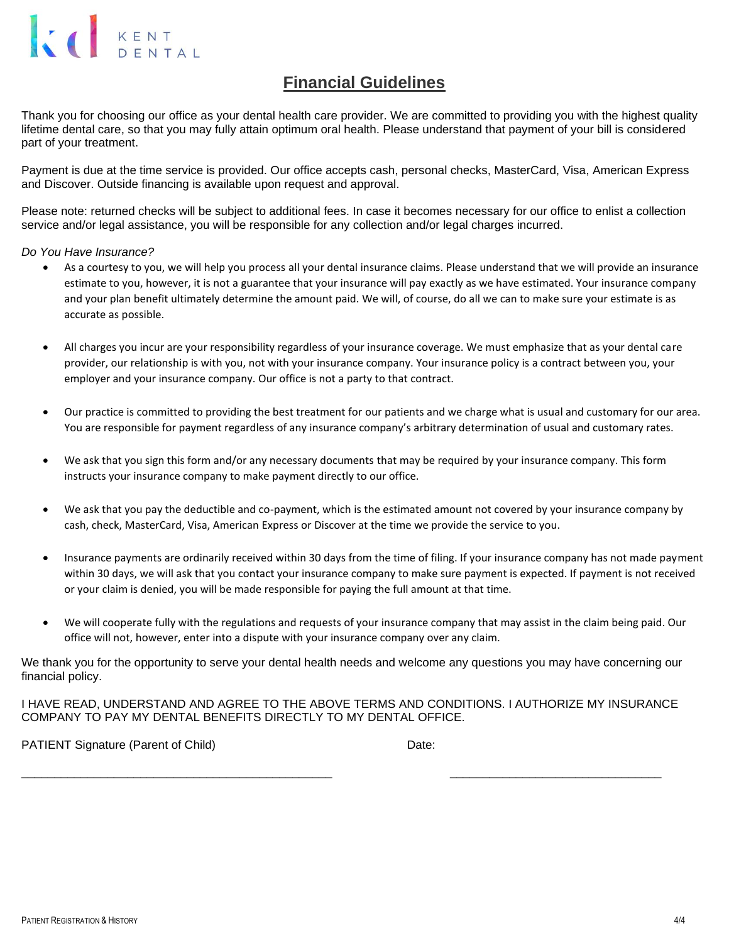### **Financial Guidelines**

Thank you for choosing our office as your dental health care provider. We are committed to providing you with the highest quality lifetime dental care, so that you may fully attain optimum oral health. Please understand that payment of your bill is considered part of your treatment.

Payment is due at the time service is provided. Our office accepts cash, personal checks, MasterCard, Visa, American Express and Discover. Outside financing is available upon request and approval.

Please note: returned checks will be subject to additional fees. In case it becomes necessary for our office to enlist a collection service and/or legal assistance, you will be responsible for any collection and/or legal charges incurred.

*Do You Have Insurance?*

- As a courtesy to you, we will help you process all your dental insurance claims. Please understand that we will provide an insurance estimate to you, however, it is not a guarantee that your insurance will pay exactly as we have estimated. Your insurance company and your plan benefit ultimately determine the amount paid. We will, of course, do all we can to make sure your estimate is as accurate as possible.
- All charges you incur are your responsibility regardless of your insurance coverage. We must emphasize that as your dental care provider, our relationship is with you, not with your insurance company. Your insurance policy is a contract between you, your employer and your insurance company. Our office is not a party to that contract.
- Our practice is committed to providing the best treatment for our patients and we charge what is usual and customary for our area. You are responsible for payment regardless of any insurance company's arbitrary determination of usual and customary rates.
- We ask that you sign this form and/or any necessary documents that may be required by your insurance company. This form instructs your insurance company to make payment directly to our office.
- We ask that you pay the deductible and co-payment, which is the estimated amount not covered by your insurance company by cash, check, MasterCard, Visa, American Express or Discover at the time we provide the service to you.
- Insurance payments are ordinarily received within 30 days from the time of filing. If your insurance company has not made payment within 30 days, we will ask that you contact your insurance company to make sure payment is expected. If payment is not received or your claim is denied, you will be made responsible for paying the full amount at that time.
- We will cooperate fully with the regulations and requests of your insurance company that may assist in the claim being paid. Our office will not, however, enter into a dispute with your insurance company over any claim.

We thank you for the opportunity to serve your dental health needs and welcome any questions you may have concerning our financial policy.

I HAVE READ, UNDERSTAND AND AGREE TO THE ABOVE TERMS AND CONDITIONS. I AUTHORIZE MY INSURANCE COMPANY TO PAY MY DENTAL BENEFITS DIRECTLY TO MY DENTAL OFFICE.

\_\_\_\_\_\_\_\_\_\_\_\_\_\_\_\_\_\_\_\_\_\_\_\_\_\_\_\_\_\_\_\_\_\_\_\_\_\_\_\_\_\_\_\_\_\_\_ \_\_\_\_\_\_\_\_\_\_\_\_\_\_\_\_\_\_\_\_\_\_\_\_\_\_\_\_\_\_\_\_

PATIENT Signature (Parent of Child) Date: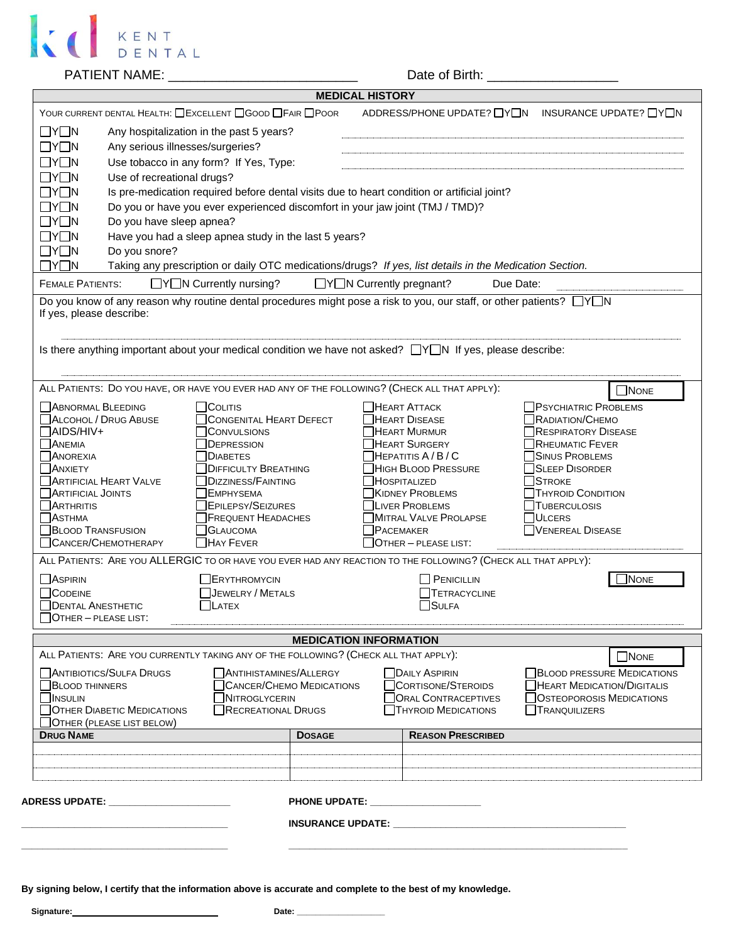

PATIENT NAME: \_\_\_\_\_\_\_\_\_\_\_\_\_\_\_\_\_\_\_\_\_\_\_\_\_\_ Date of Birth: \_\_\_\_\_\_\_\_\_\_\_\_\_\_\_\_\_\_

|                                                                                      |                                                                                                                      | <b>MEDICAL HISTORY</b>                                                         |                                                         |  |  |  |  |
|--------------------------------------------------------------------------------------|----------------------------------------------------------------------------------------------------------------------|--------------------------------------------------------------------------------|---------------------------------------------------------|--|--|--|--|
|                                                                                      | YOUR CURRENT DENTAL HEALTH: CEXCELLENT COOD CFAIR CPOOR                                                              |                                                                                | ADDRESS/PHONE UPDATE? IYIN INSURANCE UPDATE? IYIN       |  |  |  |  |
| $\Box Y \Box N$<br>Any hospitalization in the past 5 years?                          |                                                                                                                      |                                                                                |                                                         |  |  |  |  |
| $\Box Y \Box N$                                                                      | Any serious illnesses/surgeries?                                                                                     |                                                                                |                                                         |  |  |  |  |
| $\Box Y \Box N$                                                                      | Use tobacco in any form? If Yes, Type:                                                                               |                                                                                |                                                         |  |  |  |  |
| $\Box Y \Box N$<br>Use of recreational drugs?                                        |                                                                                                                      |                                                                                |                                                         |  |  |  |  |
| $\Box Y \Box N$                                                                      | Is pre-medication required before dental visits due to heart condition or artificial joint?                          |                                                                                |                                                         |  |  |  |  |
| $\Box Y \Box N$                                                                      | Do you or have you ever experienced discomfort in your jaw joint (TMJ / TMD)?                                        |                                                                                |                                                         |  |  |  |  |
| $\Box Y \Box N$                                                                      | Do you have sleep apnea?                                                                                             |                                                                                |                                                         |  |  |  |  |
| $\Box Y \Box N$                                                                      | Have you had a sleep apnea study in the last 5 years?                                                                |                                                                                |                                                         |  |  |  |  |
| $\Box Y \Box N$<br>Do you snore?                                                     |                                                                                                                      |                                                                                |                                                         |  |  |  |  |
| $\Box Y \Box N$                                                                      | Taking any prescription or daily OTC medications/drugs? If yes, list details in the Medication Section.              |                                                                                |                                                         |  |  |  |  |
| <b>FEMALE PATIENTS:</b>                                                              | $\Box Y \Box N$ Currently nursing?                                                                                   | $\Box Y \Box N$ Currently pregnant?                                            | Due Date:                                               |  |  |  |  |
| If yes, please describe:                                                             | Do you know of any reason why routine dental procedures might pose a risk to you, our staff, or other patients? □Y□N |                                                                                |                                                         |  |  |  |  |
|                                                                                      | Is there anything important about your medical condition we have not asked? $\Box Y \Box N$ If yes, please describe: |                                                                                |                                                         |  |  |  |  |
|                                                                                      | ALL PATIENTS: DO YOU HAVE, OR HAVE YOU EVER HAD ANY OF THE FOLLOWING? (CHECK ALL THAT APPLY):                        |                                                                                | $\Box$ None                                             |  |  |  |  |
| ABNORMAL BLEEDING                                                                    | $\sqcap$ Colitis                                                                                                     | $\Box$ HEART ATTACK                                                            | <b>PSYCHIATRIC PROBLEMS</b>                             |  |  |  |  |
| ALCOHOL / DRUG ABUSE                                                                 | CONGENITAL HEART DEFECT                                                                                              | HEART DISEASE                                                                  | <b>RADIATION/CHEMO</b>                                  |  |  |  |  |
| <b>TAIDS/HIV+</b>                                                                    | CONVULSIONS                                                                                                          | <b>HEART MURMUR</b>                                                            | <b>RESPIRATORY DISEASE</b>                              |  |  |  |  |
| <b>ANEMIA</b>                                                                        | DEPRESSION                                                                                                           | HEART SURGERY<br><b>RHEUMATIC FEVER</b>                                        |                                                         |  |  |  |  |
| <b>ANOREXIA</b><br><b>TANXIETY</b>                                                   | <b>DIABETES</b><br><b>DIFFICULTY BREATHING</b>                                                                       | $H$ EPATITIS $A/B/C$<br>HIGH BLOOD PRESSURE                                    | <b>SINUS PROBLEMS</b><br><b>SLEEP DISORDER</b>          |  |  |  |  |
| <b>ARTIFICIAL HEART VALVE</b>                                                        | <b>DIZZINESS/FAINTING</b>                                                                                            | HOSPITALIZED                                                                   | STROKE                                                  |  |  |  |  |
| ARTIFICIAL JOINTS                                                                    | <b>TEMPHYSEMA</b>                                                                                                    | KIDNEY PROBLEMS                                                                | <b>THYROID CONDITION</b>                                |  |  |  |  |
| $\Box$ Arthritis                                                                     | EPILEPSY/SEIZURES                                                                                                    | LIVER PROBLEMS                                                                 | TUBERCULOSIS                                            |  |  |  |  |
| <b>NASTHMA</b>                                                                       | <b>FREQUENT HEADACHES</b>                                                                                            | MITRAL VALVE PROLAPSE                                                          | <b>JULCERS</b>                                          |  |  |  |  |
| <b>BLOOD TRANSFUSION</b>                                                             | GLAUCOMA<br>PACEMAKER                                                                                                |                                                                                | VENEREAL DISEASE                                        |  |  |  |  |
| CANCER/CHEMOTHERAPY                                                                  | HAY FEVER                                                                                                            | $\Box$ OTHER $-$ PLEASE LIST:                                                  |                                                         |  |  |  |  |
|                                                                                      | ALL PATIENTS: ARE YOU ALLERGIC TO OR HAVE YOU EVER HAD ANY REACTION TO THE FOLLOWING? (CHECK ALL THAT APPLY):        |                                                                                |                                                         |  |  |  |  |
| $\Box$ Aspirin                                                                       | BRYTHROMYCIN                                                                                                         | $\Box$ PENICILLIN                                                              | <b>NONE</b>                                             |  |  |  |  |
| <b>CODEINE</b>                                                                       | <b>JEWELRY / METALS</b>                                                                                              | <b>TETRACYCLINE</b>                                                            |                                                         |  |  |  |  |
| <b>DENTAL ANESTHETIC</b>                                                             | LATEX                                                                                                                | $\exists$ Sulfa                                                                |                                                         |  |  |  |  |
| $\Box$ Other – please list:                                                          |                                                                                                                      |                                                                                |                                                         |  |  |  |  |
|                                                                                      |                                                                                                                      | <b>MEDICATION INFORMATION</b>                                                  |                                                         |  |  |  |  |
|                                                                                      | ALL PATIENTS: ARE YOU CURRENTLY TAKING ANY OF THE FOLLOWING? (CHECK ALL THAT APPLY):                                 |                                                                                | $\Box$ None                                             |  |  |  |  |
| <b>NANTIBIOTICS/SULFA DRUGS</b>                                                      | ANTIHISTAMINES/ALLERGY                                                                                               | <b>DAILY ASPIRIN</b>                                                           | <b>BLOOD PRESSURE MEDICATIONS</b>                       |  |  |  |  |
| CANCER/CHEMO MEDICATIONS<br><b>BLOOD THINNERS</b>                                    |                                                                                                                      | CORTISONE/STEROIDS<br>HEART MEDICATION/DIGITALIS<br><b>ORAL CONTRACEPTIVES</b> |                                                         |  |  |  |  |
| <b>N</b> INSULIN<br><b>OTHER DIABETIC MEDICATIONS</b>                                | <b>NITROGLYCERIN</b><br>RECREATIONAL DRUGS                                                                           | <b>THYROID MEDICATIONS</b>                                                     | <b>OSTEOPOROSIS MEDICATIONS</b><br><b>TRANQUILIZERS</b> |  |  |  |  |
| OTHER (PLEASE LIST BELOW)                                                            |                                                                                                                      |                                                                                |                                                         |  |  |  |  |
| <b>DRUG NAME</b>                                                                     | <b>DOSAGE</b>                                                                                                        | <b>REASON PRESCRIBED</b>                                                       |                                                         |  |  |  |  |
|                                                                                      |                                                                                                                      |                                                                                |                                                         |  |  |  |  |
|                                                                                      |                                                                                                                      |                                                                                |                                                         |  |  |  |  |
| PHONE UPDATE: ________________________<br>ADRESS UPDATE: ___________________________ |                                                                                                                      |                                                                                |                                                         |  |  |  |  |
|                                                                                      |                                                                                                                      |                                                                                |                                                         |  |  |  |  |
|                                                                                      |                                                                                                                      |                                                                                |                                                         |  |  |  |  |
|                                                                                      |                                                                                                                      |                                                                                |                                                         |  |  |  |  |
|                                                                                      |                                                                                                                      |                                                                                |                                                         |  |  |  |  |

**By signing below, I certify that the information above is accurate and complete to the best of my knowledge.** 

 **Signature: Date: \_\_\_\_\_\_\_\_\_\_\_\_\_\_\_\_\_\_\_**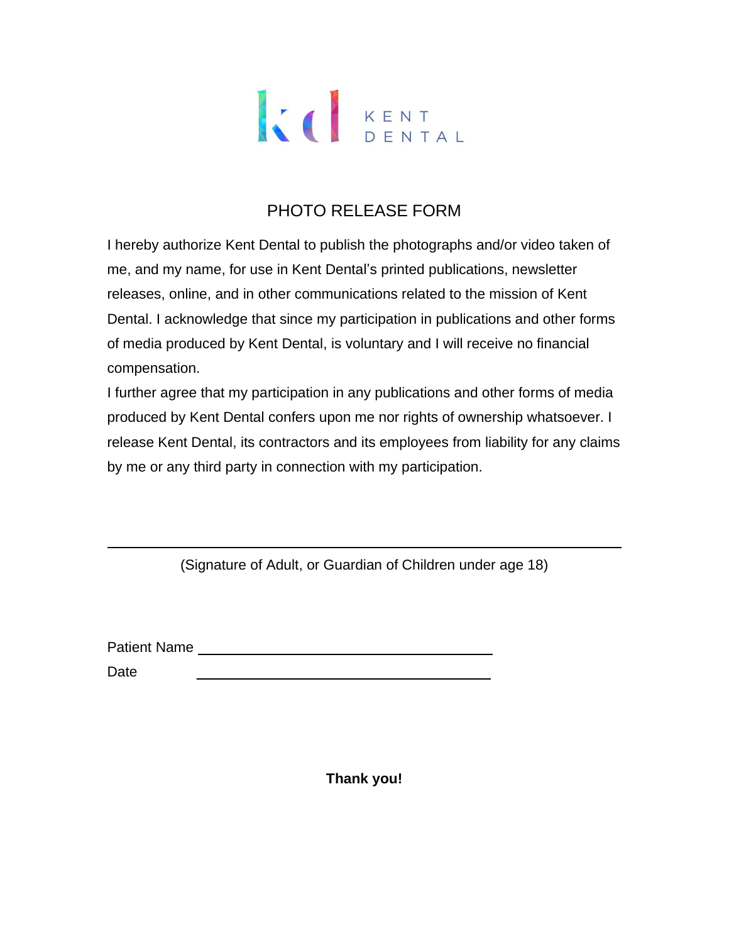### PHOTO RELEASE FORM

I hereby authorize Kent Dental to publish the photographs and/or video taken of me, and my name, for use in Kent Dental's printed publications, newsletter releases, online, and in other communications related to the mission of Kent Dental. I acknowledge that since my participation in publications and other forms of media produced by Kent Dental, is voluntary and I will receive no financial compensation.

I further agree that my participation in any publications and other forms of media produced by Kent Dental confers upon me nor rights of ownership whatsoever. I release Kent Dental, its contractors and its employees from liability for any claims by me or any third party in connection with my participation.

(Signature of Adult, or Guardian of Children under age 18)

Patient Name

Date \_\_\_\_\_\_\_\_\_\_\_\_\_\_\_\_\_\_\_\_\_\_\_\_\_\_\_\_\_\_\_\_\_\_\_\_\_

**Thank you!**